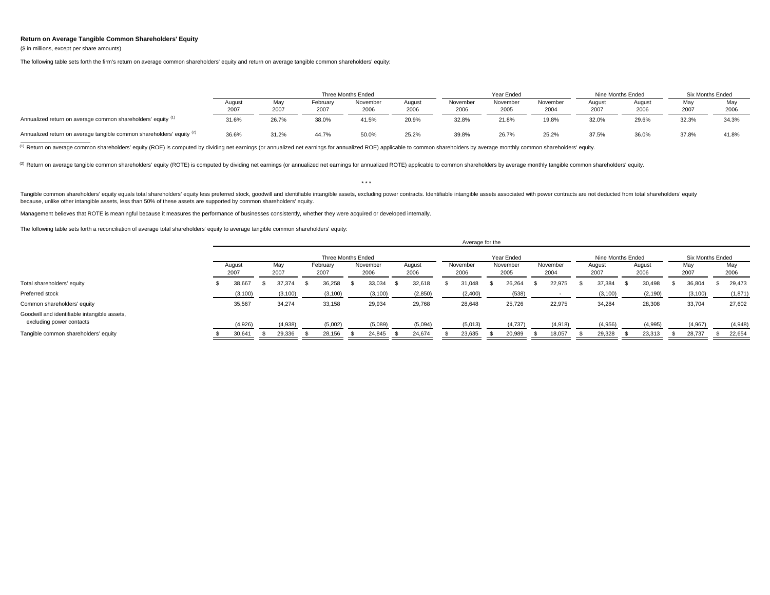## **Return on Average Tangible Common Shareholders' Equity**

(\$ in millions, except per share amounts)

The following table sets forth the firm's return on average common shareholders' equity and return on average tangible common shareholders' equity:

|                                                                       |        |       |                      | Three Months Ended |        |          | Year Ended |          | Nine Months Ended |        | <b>Six Months Ended</b> |       |  |
|-----------------------------------------------------------------------|--------|-------|----------------------|--------------------|--------|----------|------------|----------|-------------------|--------|-------------------------|-------|--|
|                                                                       | August | May   | November<br>February |                    | August | November | November   | November | August            | August | Mav                     | May   |  |
|                                                                       | 2007   | 2007  | 2007                 | 2006               | 2006   | 2006     | 2005       | 2004     | 2007              | 2006   | 2007                    | 2006  |  |
| Annualized return on average common shareholders' equity (1)          | 31.6%  | 26.7% | 38.0%                | 41.5%              | 20.9%  | 32.8%    | 21.8%      | 19.8%    | 32.0%             | 29.6%  | 32.3%                   | 34.3% |  |
| Annualized return on average tangible common shareholders' equity (2) | 36.6%  | 31.2% | 44.7%                | 50.0%              | 25.2%  | 39.8%    | 26.7%      | 25.2%    | 37.5%             | 36.0%  | 37.8%                   | 41.8% |  |

<sup>(1)</sup> Return on average common shareholders' equity (ROE) is computed by dividing net earnings (or annualized net earnings for annualized ROE) applicable to common shareholders by average monthly common shareholders' equit

(2) Return on average tangible common shareholders' equity (ROTE) is computed by dividing net earnings (or annualized net earnings for annualized ROTE) applicable to common shareholders by average monthly tangible common s

Tangible common shareholders' equity equals total shareholders' equity less preferred stock, goodwill and identifiable intangible assets, excluding power contracts. Identifiable intangible assets associated with power cont because, unlike other intangible assets, less than 50% of these assets are supported by common shareholders' equity.

 $\rightarrow$   $\rightarrow$ 

Management believes that ROTE is meaningful because it measures the performance of businesses consistently, whether they were acquired or developed internally.

The following table sets forth a reconciliation of average total shareholders' equity to average tangible common shareholders' equity:

|                                                                          |                |  |             |  |                  |                    |                  |  |                |            | Average for the  |  |                  |  |                  |                   |  |                |  |                  |  |             |
|--------------------------------------------------------------------------|----------------|--|-------------|--|------------------|--------------------|------------------|--|----------------|------------|------------------|--|------------------|--|------------------|-------------------|--|----------------|--|------------------|--|-------------|
|                                                                          |                |  |             |  |                  | Three Months Ended |                  |  |                | Year Ended |                  |  |                  |  |                  | Nine Months Ended |  |                |  | Six Months Ended |  |             |
|                                                                          | August<br>2007 |  | May<br>2007 |  | February<br>2007 |                    | November<br>2006 |  | August<br>2006 |            | November<br>2006 |  | November<br>2005 |  | November<br>2004 | August<br>2007    |  | August<br>2006 |  | May<br>2007      |  | May<br>2006 |
| Total shareholders' equity                                               | 38,667         |  | 37,374      |  | 36,258           |                    | 33,034           |  | 32,618         |            | 31.048           |  | 26,264           |  | 22,975           | 37,384            |  | 30,498         |  | 36,804           |  | 29,473      |
| Preferred stock                                                          | (3, 100)       |  | (3, 100)    |  | (3, 100)         |                    | (3, 100)         |  | (2,850)        |            | (2,400)          |  | (538)            |  |                  | (3, 100)          |  | (2, 190)       |  | (3, 100)         |  | (1,871)     |
| Common shareholders' equity                                              | 35,567         |  | 34,274      |  | 33,158           |                    | 29,934           |  | 29,768         |            | 28,648           |  | 25,726           |  | 22,975           | 34,284            |  | 28,308         |  | 33,704           |  | 27,602      |
| Goodwill and identifiable intangible assets,<br>excluding power contacts | (4,926)        |  | (4,938)     |  | (5,002)          |                    | (5,089)          |  | (5,094)        |            | (5,013)          |  | (4,737)          |  | (4,918)          | (4,956)           |  | (4,995)        |  | (4,967)          |  | (4,948)     |
| Tangible common shareholders' equity                                     | 30,641         |  | 29,336      |  | 28,156           |                    | 24,845           |  | 24,674         |            | 23,635           |  | 20,989           |  | 18,057           | 29,328            |  | 23,313         |  | 28,737           |  | 22,654      |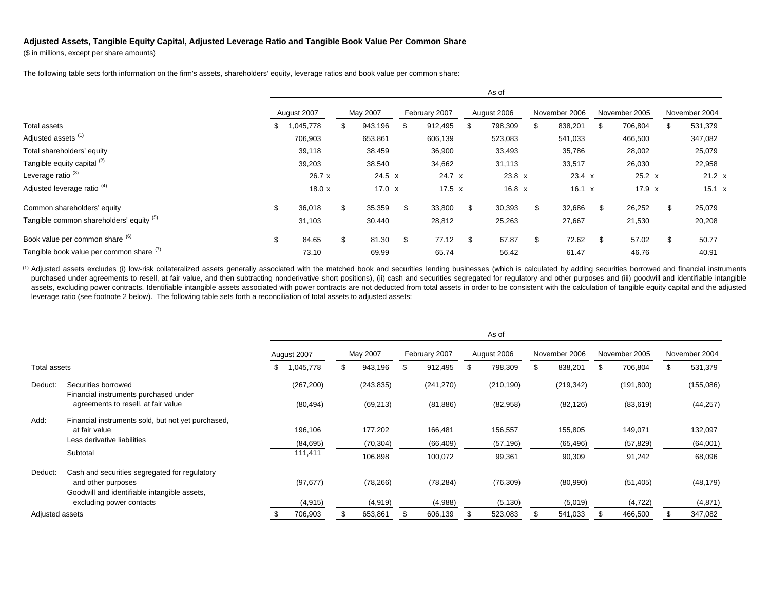## **Adjusted Assets, Tangible Equity Capital, Adjusted Leverage Ratio and Tangible Book Value Per Common Share**

(\$ in millions, except per share amounts)

The following table sets forth information on the firm's assets, shareholders' equity, leverage ratios and book value per common share:

|                                          | AS OT          |     |               |    |               |     |               |    |               |    |               |     |               |
|------------------------------------------|----------------|-----|---------------|----|---------------|-----|---------------|----|---------------|----|---------------|-----|---------------|
|                                          | August 2007    |     | May 2007      |    | February 2007 |     | August 2006   |    | November 2006 |    | November 2005 |     | November 2004 |
| Total assets                             | \$<br>,045,778 | ٦'n | 943,196       | -S | 912,495       | \$  | 798,309       | \$ | 838,201       |    | 706,804       |     | 531,379       |
| Adjusted assets <sup>(1)</sup>           | 706,903        |     | 653,861       |    | 606,139       |     | 523,083       |    | 541,033       |    | 466,500       |     | 347,082       |
| Total shareholders' equity               | 39,118         |     | 38,459        |    | 36,900        |     | 33,493        |    | 35,786        |    | 28,002        |     | 25,079        |
| Tangible equity capital (2)              | 39,203         |     | 38,540        |    | 34,662        |     | 31,113        |    | 33,517        |    | 26,030        |     | 22,958        |
| Leverage ratio <sup>(3)</sup>            | 26.7 x         |     | 24.5 X        |    | 24.7 x        |     | $23.8 \times$ |    | $23.4 \times$ |    | $25.2 \times$ |     | $21.2 \times$ |
| Adjusted leverage ratio <sup>(4)</sup>   | 18.0x          |     | 17.0 $\times$ |    | $17.5 \times$ |     | $16.8 \times$ |    | $16.1 \times$ |    | 17.9 $x$      |     | 15.1 x        |
| Common shareholders' equity              | \$<br>36,018   | \$  | 35,359        | \$ | 33,800        | -S  | 30,393        | \$ | 32,686        | \$ | 26,252        | \$. | 25,079        |
| Tangible common shareholders' equity (5) | 31,103         |     | 30,440        |    | 28,812        |     | 25,263        |    | 27,667        |    | 21,530        |     | 20,208        |
| Book value per common share (6)          | \$<br>84.65    | \$  | 81.30         | \$ | 77.12         | \$. | 67.87         | \$ | 72.62         | \$ | 57.02         | \$  | 50.77         |
| Tangible book value per common share (1) | 73.10          |     | 69.99         |    | 65.74         |     | 56.42         |    | 61.47         |    | 46.76         |     | 40.91         |

 $\lambda$ 

(1) Adjusted assets excludes (i) low-risk collateralized assets generally associated with the matched book and securities lending businesses (which is calculated by adding securities borrowed and financial instruments purchased under agreements to resell, at fair value, and then subtracting nonderivative short positions), (ii) cash and securities segregated for regulatory and other purposes and (iii) goodwill and identifiable intangible assets, excluding power contracts. Identifiable intangible assets associated with power contracts are not deducted from total assets in order to be consistent with the calculation of tangible equity capital and the adjusted leverage ratio (see footnote 2 below). The following table sets forth a reconciliation of total assets to adjusted assets:

|                 |                                                              |    |             |            |               | As of         |               |               |               |
|-----------------|--------------------------------------------------------------|----|-------------|------------|---------------|---------------|---------------|---------------|---------------|
|                 |                                                              |    | August 2007 | May 2007   | February 2007 | August 2006   | November 2006 | November 2005 | November 2004 |
| Total assets    |                                                              | S. | ,045,778    | 943,196    | \$<br>912,495 | \$<br>798,309 | \$<br>838,201 | 706,804       | 531,379       |
| Deduct:         | Securities borrowed<br>Financial instruments purchased under |    | (267, 200)  | (243, 835) | (241, 270)    | (210, 190)    | (219, 342)    | (191, 800)    | (155,086)     |
|                 | agreements to resell, at fair value                          |    | (80, 494)   | (69, 213)  | (81, 886)     | (82,958)      | (82, 126)     | (83, 619)     | (44, 257)     |
| Add:            | Financial instruments sold, but not yet purchased,           |    |             |            |               |               |               |               |               |
|                 | at fair value                                                |    | 196,106     | 177,202    | 166,481       | 156,557       | 155,805       | 149,071       | 132,097       |
|                 | Less derivative liabilities                                  |    | (84, 695)   | (70, 304)  | (66, 409)     | (57, 196)     | (65, 496)     | (57, 829)     | (64,001)      |
|                 | Subtotal                                                     |    | 111,411     | 106,898    | 100,072       | 99,361        | 90,309        | 91,242        | 68,096        |
| Deduct:         | Cash and securities segregated for regulatory                |    |             |            |               |               |               |               |               |
|                 | and other purposes                                           |    | (97, 677)   | (78, 266)  | (78, 284)     | (76, 309)     | (80,990)      | (51, 405)     | (48, 179)     |
|                 | Goodwill and identifiable intangible assets,                 |    |             |            |               |               |               |               |               |
|                 | excluding power contacts                                     |    | (4, 915)    | (4, 919)   | (4,988)       | (5, 130)      | (5,019)       | (4, 722)      | (4,871)       |
| Adjusted assets |                                                              |    | 706,903     | 653,861    | 606,139       | 523,083       | 541,033       | 466,500       | 347,082       |